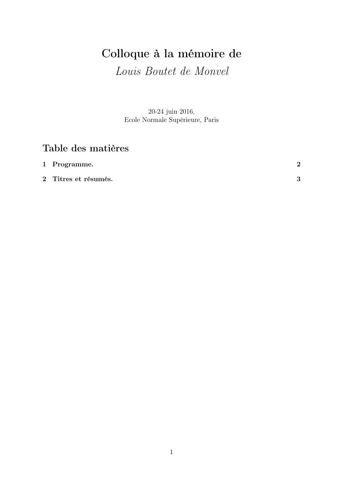# Colloque à la mémoire de

Louis Boutet de Monvel

20-24 juin 2016, Ecole Normale Supérieure, Paris

## Table des matières

| 1 Programme.         | ച |
|----------------------|---|
| 2 Titres et résumés. | 2 |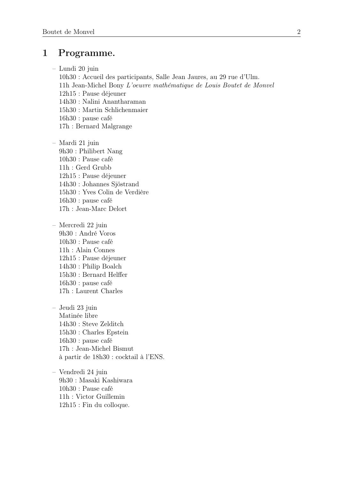## 1 Programme.

- Lundi 20 juin
	- 10h30 : Accueil des participants, Salle Jean Jaures, au 29 rue d'Ulm.
	- 11h Jean-Michel Bony L'oeuvre mathématique de Louis Boutet de Monvel
	- 12h15 : Pause déjeuner
	- 14h30 : Nalini Anantharaman 15h30 : Martin Schlichenmaier
	- 16h30 : pause café
	- 17h : Bernard Malgrange
- Mardi 21 juin 9h30 : Philibert Nang 10h30 : Pause café 11h : Gerd Grubb 12h15 : Pause déjeuner 14h30 : Johannes Sjöstrand 15h30 : Yves Colin de Verdière 16h30 : pause café 17h : Jean-Marc Delort
- Mercredi 22 juin 9h30 : André Voros 10h30 : Pause café 11h : Alain Connes 12h15 : Pause déjeuner 14h30 : Philip Boalch 15h30 : Bernard Helffer 16h30 : pause café 17h : Laurent Charles
- Jeudi 23 juin Matinée libre 14h30 : Steve Zelditch 15h30 : Charles Epstein 16h30 : pause café 17h : Jean-Michel Bismut à partir de 18h30 : cocktail à l'ENS.
- Vendredi 24 juin 9h30 : Masaki Kashiwara 10h30 : Pause café 11h : Victor Guillemin 12h15 : Fin du colloque.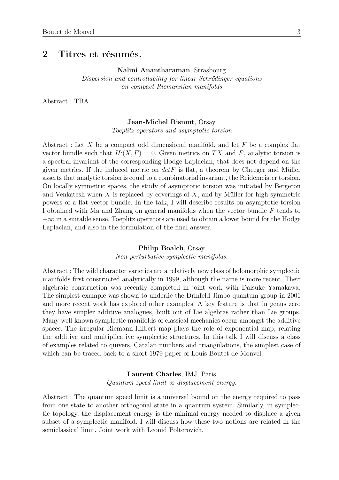### 2 Titres et résumés.

Nalini Anantharaman, Strasbourg

Dispersion and controllability for linear Schrödinger equations on compact Riemannian manifolds

Abstract : TBA

#### Jean-Michel Bismut, Orsay

Toeplitz operators and asymptotic torsion

Abstract : Let X be a compact odd dimensional manifold, and let  $F$  be a complex flat vector bundle such that  $H<sup>T</sup>(X, F) = 0$ . Given metrics on TX and F, analytic torsion is a spectral invariant of the corresponding Hodge Laplacian, that does not depend on the given metrics. If the induced metric on  $det F$  is flat, a theorem by Cheeger and Müller asserts that analytic torsion is equal to a combinatorial invariant, the Reidemeister torsion. On locally symmetric spaces, the study of asymptotic torsion was initiated by Bergeron and Venkatesh when  $X$  is replaced by coverings of  $X$ , and by Müller for high symmetric powers of a flat vector bundle. In the talk, I will describe results on asymptotic torsion I obtained with Ma and Zhang on general manifolds when the vector bundle F tends to  $+\infty$  in a suitable sense. Toeplitz operators are used to obtain a lower bound for the Hodge Laplacian, and also in the formulation of the final answer.

#### Philip Boalch, Orsay

Non-perturbative symplectic manifolds.

Abstract : The wild character varieties are a relatively new class of holomorphic symplectic manifolds first constructed analytically in 1999, although the name is more recent. Their algebraic construction was recently completed in joint work with Daisuke Yamakawa. The simplest example was shown to underlie the Drinfeld-Jimbo quantum group in 2001 and more recent work has explored other examples. A key feature is that in genus zero they have simpler additive analogues, built out of Lie algebras rather than Lie groups. Many well-known symplectic manifolds of classical mechanics occur amongst the additive spaces. The irregular Riemann-Hilbert map plays the role of exponential map, relating the additive and multiplicative symplectic structures. In this talk I will discuss a class of examples related to quivers, Catalan numbers and triangulations, the simplest case of which can be traced back to a short 1979 paper of Louis Boutet de Monvel.

> Laurent Charles, IMJ, Paris Quantum speed limit vs displacement energy.

Abstract : The quantum speed limit is a universal bound on the energy required to pass from one state to another orthogonal state in a quantum system. Similarly, in symplectic topology, the displacement energy is the minimal energy needed to displace a given subset of a symplectic manifold. I will discuss how these two notions are related in the semiclassical limit. Joint work with Leonid Polterovich.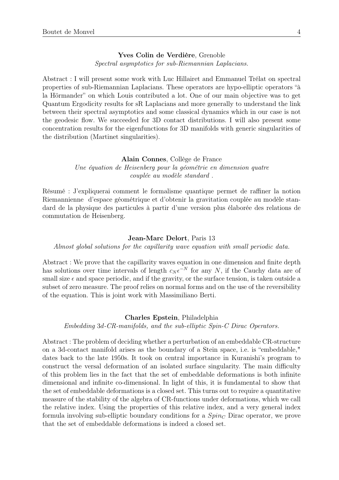Yves Colin de Verdière, Grenoble Spectral asymptotics for sub-Riemannian Laplacians.

Abstract : I will present some work with Luc Hillairet and Emmanuel Trélat on spectral properties of sub-Riemannian Laplacians. These operators are hypo-elliptic operators "à la Hörmander" on which Louis contributed a lot. One of our main objective was to get Quantum Ergodicity results for sR Laplacians and more generally to understand the link between their spectral asymptotics and some classical dynamics which in our case is not the geodesic flow. We succeeded for 3D contact distributions. I will also present some concentration results for the eigenfunctions for 3D manifolds with generic singularities of the distribution (Martinet singularities).

#### Alain Connes, Collège de France Une équation de Heisenberg pour la géométrie en dimension quatre couplée au modèle standard .

Résumé : J'expliquerai comment le formalisme quantique permet de raffiner la notion Riemannienne d'espace géométrique et d'obtenir la gravitation couplée au modèle standard de la physique des particules à partir d'une version plus élaborée des relations de commutation de Heisenberg.

#### Jean-Marc Delort, Paris 13

Almost global solutions for the capillarity wave equation with small periodic data.

Abstract : We prove that the capillarity waves equation in one dimension and finite depth has solutions over time intervals of length  $c_N \epsilon^{-N}$  for any N, if the Cauchy data are of small size  $\epsilon$  and space periodic, and if the gravity, or the surface tension, is taken outside a subset of zero measure. The proof relies on normal forms and on the use of the reversibility of the equation. This is joint work with Massimiliano Berti.

#### Charles Epstein, Philadelphia

Embedding 3d-CR-manifolds, and the sub-elliptic Spin-C Dirac Operators.

Abstract : The problem of deciding whether a perturbation of an embeddable CR-structure on a 3d-contact manifold arises as the boundary of a Stein space, i.e. is "embeddable," dates back to the late 1950s. It took on central importance in Kuranishi's program to construct the versal deformation of an isolated surface singularity. The main difficulty of this problem lies in the fact that the set of embeddable deformations is both infinite dimensional and infinite co-dimensional. In light of this, it is fundamental to show that the set of embeddable deformations is a closed set. This turns out to require a quantitative measure of the stability of the algebra of CR-functions under deformations, which we call the relative index. Using the properties of this relative index, and a very general index formula involving sub-elliptic boundary conditions for a  $Spin<sub>C</sub>$  Dirac operator, we prove that the set of embeddable deformations is indeed a closed set.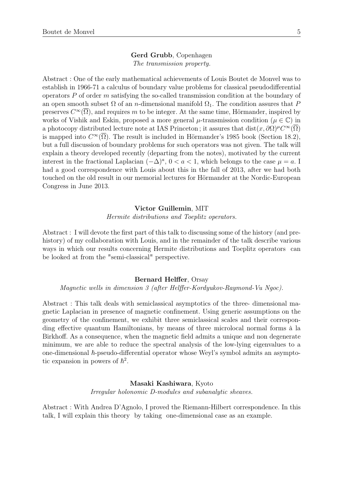#### Gerd Grubb, Copenhagen The transmission property.

Abstract : One of the early mathematical achievements of Louis Boutet de Monvel was to establish in 1966-71 a calculus of boundary value problems for classical pseudodifferential operators P of order m satisfying the so-called transmission condition at the boundary of an open smooth subset  $\Omega$  of an *n*-dimensional manifold  $\Omega_1$ . The condition assures that P preserves  $C^{\infty}(\overline{\Omega})$ , and requires m to be integer. At the same time, Hörmander, inspired by works of Vishik and Eskin, proposed a more general  $\mu$ -transmission condition ( $\mu \in \mathbb{C}$ ) in a photocopy distributed lecture note at IAS Princeton; it assures that  $dist(x, \partial \Omega)^\mu C^\infty(\overline{\Omega})$ is mapped into  $C^{\infty}(\overline{\Omega})$ . The result is included in Hörmander's 1985 book (Section 18.2), but a full discussion of boundary problems for such operators was not given. The talk will explain a theory developed recently (departing from the notes), motivated by the current interest in the fractional Laplacian  $(-\Delta)^a$ ,  $0 < a < 1$ , which belongs to the case  $\mu = a$ . had a good correspondence with Louis about this in the fall of 2013, after we had both touched on the old result in our memorial lectures for Hörmander at the Nordic-European Congress in June 2013.

#### Victor Guillemin, MIT

Hermite distributions and Toeplitz operators.

Abstract : I will devote the first part of this talk to discussing some of the history (and prehistory) of my collaboration with Louis, and in the remainder of the talk describe various ways in which our results concerning Hermite distributions and Toeplitz operators can be looked at from the "semi-classical" perspective.

#### Bernard Helffer, Orsay

Magnetic wells in dimension 3 (after Helffer-Kordyukov-Raymond-Vu Ngoc).

Abstract : This talk deals with semiclassical asymptotics of the three- dimensional magnetic Laplacian in presence of magnetic confinement. Using generic assumptions on the geometry of the confinement, we exhibit three semiclassical scales and their corresponding effective quantum Hamiltonians, by means of three microlocal normal forms à la Birkhoff. As a consequence, when the magnetic field admits a unique and non degenerate minimum, we are able to reduce the spectral analysis of the low-lying eigenvalues to a one-dimensional  $\hbar$ -pseudo-differential operator whose Weyl's symbol admits an asymptotic expansion in powers of  $\hbar^2$ .

#### Masaki Kashiwara, Kyoto

Irregular holonomic D-modules and subanalytic sheaves.

Abstract : With Andrea D'Agnolo, I proved the Riemann-Hilbert correspondence. In this talk, I will explain this theory by taking one-dimensional case as an example.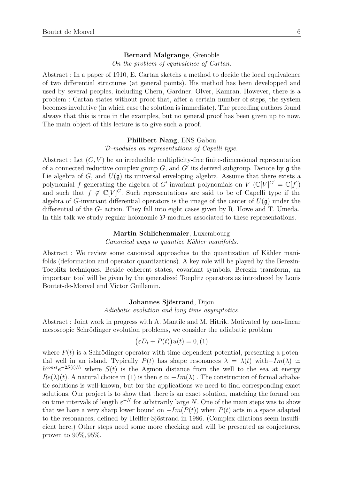#### Bernard Malgrange, Grenoble

On the problem of equivalence of Cartan.

Abstract : In a paper of 1910, E. Cartan sketchs a method to decide the local equivalence of two differential structures (at general points). His method has been developped and used by several peoples, including Chern, Gardner, Olver, Kamran. However, there is a problem : Cartan states without proof that, after a certain number of steps, the system becomes involutive (in which case the solution is immediate). The preceding authors found always that this is true in the examples, but no general proof has been given up to now. The main object of this lecture is to give such a proof.

#### Philibert Nang, ENS Gabon

D-modules on representations of Capelli type.

Abstract : Let  $(G, V)$  be an irreducible multiplicity-free finite-dimensional representation of a connected reductive complex group  $G$ , and  $G'$  its derived subgroup. Denote by  $\mathfrak g$  the Lie algebra of G, and  $U(\mathfrak{g})$  its universal enveloping algebra. Assume that there exists a polynomial f generating the algebra of G'-invariant polynomials on V  $(\mathbb{C}[V]^{G'} = \mathbb{C}[f])$ and such that  $f \notin \mathbb{C}[V]^G$ . Such representations are said to be of Capelli type if the algebra of G-invariant differential operators is the image of the center of  $U(\mathfrak{g})$  under the differential of the G- action. They fall into eight cases given by R. Howe and T. Umeda. In this talk we study regular holonomic D-modules associated to these representations.

#### Martin Schlichenmaier, Luxembourg

Canonical ways to quantize Kähler manifolds.

Abstract : We review some canonical approaches to the quantization of Kähler manifolds (deformation and operator quantizations). A key role will be played by the Berezin-Toeplitz techniques. Beside coherent states, covariant symbols, Berezin transform, an important tool will be given by the generalized Toeplitz operators as introduced by Louis Boutet-de-Monvel and Victor Guillemin.

#### Johannes Sjöstrand, Dijon

Adiabatic evolution and long time asymptotics.

Abstract : Joint work in progress with A. Mantile and M. Hitrik. Motivated by non-linear mesoscopic Schrödinger evolution problems, we consider the adiabatic problem

$$
(\varepsilon D_t + P(t))u(t) = 0, (1)
$$

where  $P(t)$  is a Schrödinger operator with time dependent potential, presenting a potential well in an island. Typically  $P(t)$  has shape resonances  $\lambda = \lambda(t)$  with $-Im(\lambda) \simeq$  $h^{const}e^{-2S(t)/h}$  where  $S(t)$  is the Agmon distance from the well to the sea at energy  $Re(\lambda)(t)$ . A natural choice in (1) is then  $\varepsilon \simeq -Im(\lambda)$ . The construction of formal adiabatic solutions is well-known, but for the applications we need to find corresponding exact solutions. Our project is to show that there is an exact solution, matching the formal one on time intervals of length  $\varepsilon^{-N}$  for arbitrarily large N. One of the main steps was to show that we have a very sharp lower bound on  $-Im(P(t))$  when  $P(t)$  acts in a space adapted to the resonances, defined by Helffer-Sjöstrand in 1986. (Complex dilations seem insufficient here.) Other steps need some more checking and will be presented as conjectures, proven to 90%, 95%.